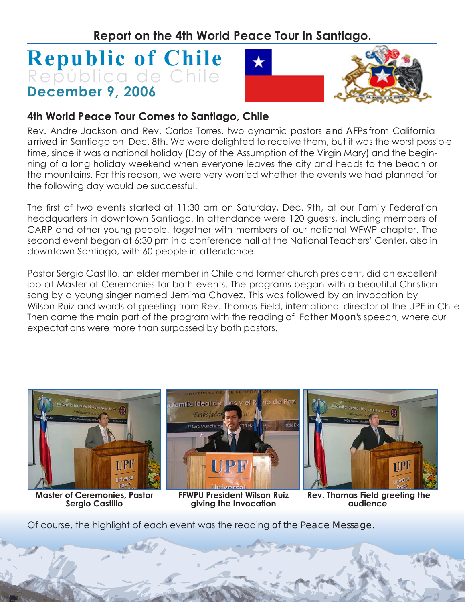## **Republic of Chile December 9, 2006** República de Chile



## **4th World Peace Tour Comes to Santiago, Chile**

Rev. Andre Jackson and Rev. Carlos Torres, two dynamic pastors and AFPs from California arrived in Santiago on Dec. 8th. We were delighted to receive them, but it was the worst possible time, since it was a national holiday (Day of the Assumption of the Virgin Mary) and the beginning of a long holiday weekend when everyone leaves the city and heads to the beach or the mountains. For this reason, we were very worried whether the events we had planned for the following day would be successful.

The first of two events started at 11:30 am on Saturday, Dec. 9th, at our Family Federation headquarters in downtown Santiago. In attendance were 120 guests, including members of CARP and other young people, together with members of our national WFWP chapter. The second event began at 6:30 pm in a conference hall at the National Teachers' Center, also in downtown Santiago, with 60 people in attendance.

Pastor Sergio Castillo, an elder member in Chile and former church president, did an excellent job at Master of Ceremonies for both events. The programs began with a beautiful Christian song by a young singer named Jemima Chavez. This was followed by an invocation by Wilson Ruiz and words of greeting from Rev. Thomas Field, international director of the UPF in Chile. Then came the main part of the program with the reading of Father Moon's speech, where our expectations were more than surpassed by both pastors.



**Master of Ceremonies, Pastor Sergio Castillo**

**FFWPU President Wilson Ruiz giving the Invocation**

 **Rev. Thomas Field greeting the audience**

Of course, the highlight of each event was the reading of the Peace Message.